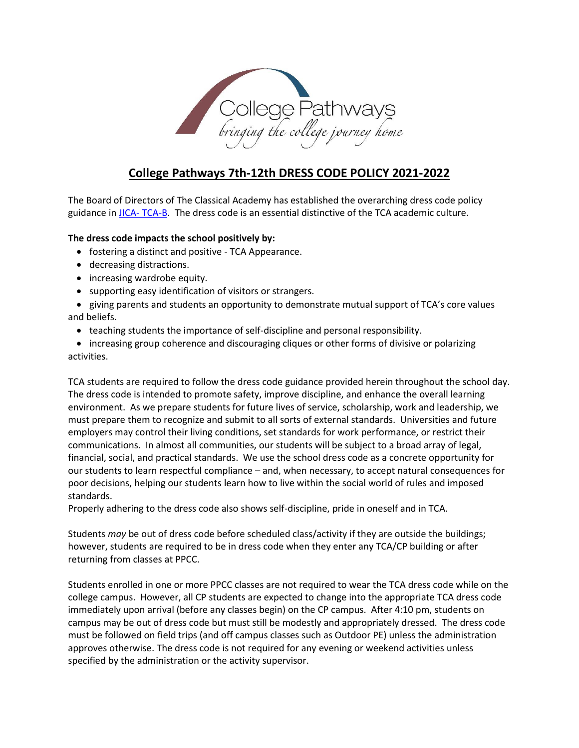

# **College Pathways 7th-12th DRESS CODE POLICY 2021-2022**

The Board of Directors of The Classical Academy has established the overarching dress code policy guidance in JICA- [TCA-B.](http://www.tcatitans.org/common/pages/DisplayFile.aspx?itemId=13969181) The dress code is an essential distinctive of the TCA academic culture.

## **The dress code impacts the school positively by:**

- fostering a distinct and positive TCA Appearance.
- decreasing distractions.
- increasing wardrobe equity.
- supporting easy identification of visitors or strangers.

• giving parents and students an opportunity to demonstrate mutual support of TCA's core values and beliefs.

• teaching students the importance of self-discipline and personal responsibility.

• increasing group coherence and discouraging cliques or other forms of divisive or polarizing activities.

TCA students are required to follow the dress code guidance provided herein throughout the school day. The dress code is intended to promote safety, improve discipline, and enhance the overall learning environment. As we prepare students for future lives of service, scholarship, work and leadership, we must prepare them to recognize and submit to all sorts of external standards. Universities and future employers may control their living conditions, set standards for work performance, or restrict their communications. In almost all communities, our students will be subject to a broad array of legal, financial, social, and practical standards. We use the school dress code as a concrete opportunity for our students to learn respectful compliance – and, when necessary, to accept natural consequences for poor decisions, helping our students learn how to live within the social world of rules and imposed standards.

Properly adhering to the dress code also shows self-discipline, pride in oneself and in TCA.

Students *may* be out of dress code before scheduled class/activity if they are outside the buildings; however, students are required to be in dress code when they enter any TCA/CP building or after returning from classes at PPCC.

Students enrolled in one or more PPCC classes are not required to wear the TCA dress code while on the college campus. However, all CP students are expected to change into the appropriate TCA dress code immediately upon arrival (before any classes begin) on the CP campus. After 4:10 pm, students on campus may be out of dress code but must still be modestly and appropriately dressed. The dress code must be followed on field trips (and off campus classes such as Outdoor PE) unless the administration approves otherwise. The dress code is not required for any evening or weekend activities unless specified by the administration or the activity supervisor.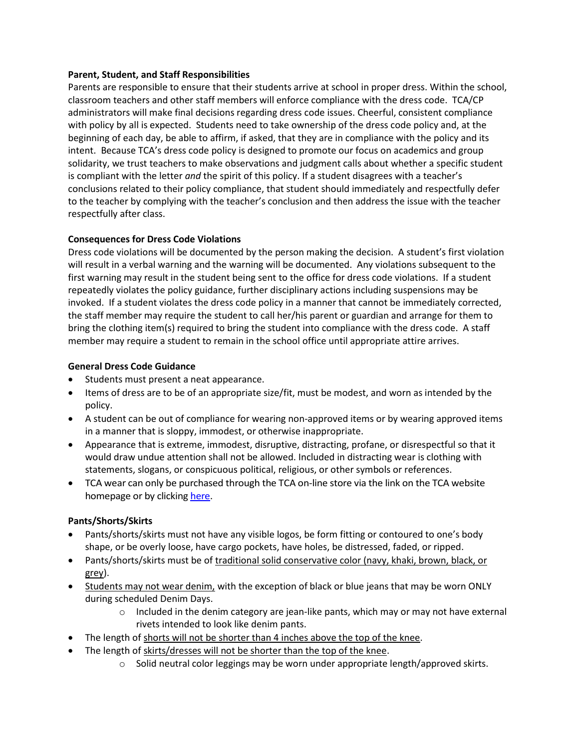#### **Parent, Student, and Staff Responsibilities**

Parents are responsible to ensure that their students arrive at school in proper dress. Within the school, classroom teachers and other staff members will enforce compliance with the dress code. TCA/CP administrators will make final decisions regarding dress code issues. Cheerful, consistent compliance with policy by all is expected. Students need to take ownership of the dress code policy and, at the beginning of each day, be able to affirm, if asked, that they are in compliance with the policy and its intent. Because TCA's dress code policy is designed to promote our focus on academics and group solidarity, we trust teachers to make observations and judgment calls about whether a specific student is compliant with the letter *and* the spirit of this policy. If a student disagrees with a teacher's conclusions related to their policy compliance, that student should immediately and respectfully defer to the teacher by complying with the teacher's conclusion and then address the issue with the teacher respectfully after class.

#### **Consequences for Dress Code Violations**

Dress code violations will be documented by the person making the decision. A student's first violation will result in a verbal warning and the warning will be documented. Any violations subsequent to the first warning may result in the student being sent to the office for dress code violations. If a student repeatedly violates the policy guidance, further disciplinary actions including suspensions may be invoked. If a student violates the dress code policy in a manner that cannot be immediately corrected, the staff member may require the student to call her/his parent or guardian and arrange for them to bring the clothing item(s) required to bring the student into compliance with the dress code. A staff member may require a student to remain in the school office until appropriate attire arrives.

#### **General Dress Code Guidance**

- Students must present a neat appearance.
- Items of dress are to be of an appropriate size/fit, must be modest, and worn as intended by the policy.
- A student can be out of compliance for wearing non-approved items or by wearing approved items in a manner that is sloppy, immodest, or otherwise inappropriate.
- Appearance that is extreme, immodest, disruptive, distracting, profane, or disrespectful so that it would draw undue attention shall not be allowed. Included in distracting wear is clothing with statements, slogans, or conspicuous political, religious, or other symbols or references.
- TCA wear can only be purchased through the TCA on-line store via the link on the TCA website homepage or by clickin[g here.](https://sideline.bsnsports.com/schools/colorado/coloradosprings/the-classical-academy)

#### **Pants/Shorts/Skirts**

- Pants/shorts/skirts must not have any visible logos, be form fitting or contoured to one's body shape, or be overly loose, have cargo pockets, have holes, be distressed, faded, or ripped.
- Pants/shorts/skirts must be of traditional solid conservative color (navy, khaki, brown, black, or grey).
- Students may not wear denim, with the exception of black or blue jeans that may be worn ONLY during scheduled Denim Days.
	- $\circ$  Included in the denim category are jean-like pants, which may or may not have external rivets intended to look like denim pants.
- The length of shorts will not be shorter than 4 inches above the top of the knee.
	- The length of skirts/dresses will not be shorter than the top of the knee.
		- $\circ$  Solid neutral color leggings may be worn under appropriate length/approved skirts.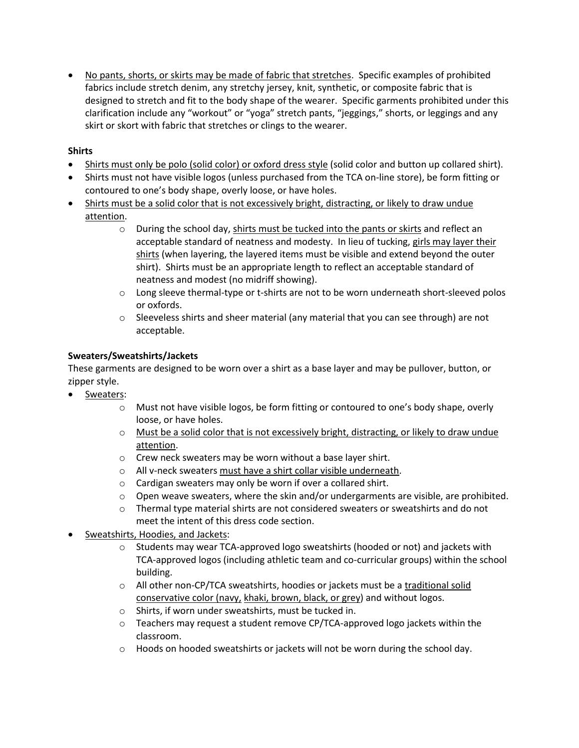• No pants, shorts, or skirts may be made of fabric that stretches. Specific examples of prohibited fabrics include stretch denim, any stretchy jersey, knit, synthetic, or composite fabric that is designed to stretch and fit to the body shape of the wearer. Specific garments prohibited under this clarification include any "workout" or "yoga" stretch pants, "jeggings," shorts, or leggings and any skirt or skort with fabric that stretches or clings to the wearer.

# **Shirts**

- Shirts must only be polo (solid color) or oxford dress style (solid color and button up collared shirt).
- Shirts must not have visible logos (unless purchased from the TCA on-line store), be form fitting or contoured to one's body shape, overly loose, or have holes.
- Shirts must be a solid color that is not excessively bright, distracting, or likely to draw undue attention.
	- $\circ$  During the school day, shirts must be tucked into the pants or skirts and reflect an acceptable standard of neatness and modesty. In lieu of tucking, girls may layer their shirts (when layering, the layered items must be visible and extend beyond the outer shirt). Shirts must be an appropriate length to reflect an acceptable standard of neatness and modest (no midriff showing).
	- o Long sleeve thermal-type or t-shirts are not to be worn underneath short-sleeved polos or oxfords.
	- $\circ$  Sleeveless shirts and sheer material (any material that you can see through) are not acceptable.

# **Sweaters/Sweatshirts/Jackets**

These garments are designed to be worn over a shirt as a base layer and may be pullover, button, or zipper style.

- Sweaters:
	- $\circ$  Must not have visible logos, be form fitting or contoured to one's body shape, overly loose, or have holes.
	- o Must be a solid color that is not excessively bright, distracting, or likely to draw undue attention.
	- o Crew neck sweaters may be worn without a base layer shirt.
	- o All v-neck sweaters must have a shirt collar visible underneath.
	- o Cardigan sweaters may only be worn if over a collared shirt.
	- $\circ$  Open weave sweaters, where the skin and/or undergarments are visible, are prohibited.
	- $\circ$  Thermal type material shirts are not considered sweaters or sweatshirts and do not meet the intent of this dress code section.
- Sweatshirts, Hoodies, and Jackets:
	- $\circ$  Students may wear TCA-approved logo sweatshirts (hooded or not) and jackets with TCA-approved logos (including athletic team and co-curricular groups) within the school building.
	- $\circ$  All other non-CP/TCA sweatshirts, hoodies or jackets must be a traditional solid conservative color (navy, khaki, brown, black, or grey) and without logos.
	- o Shirts, if worn under sweatshirts, must be tucked in.
	- o Teachers may request a student remove CP/TCA-approved logo jackets within the classroom.
	- o Hoods on hooded sweatshirts or jackets will not be worn during the school day.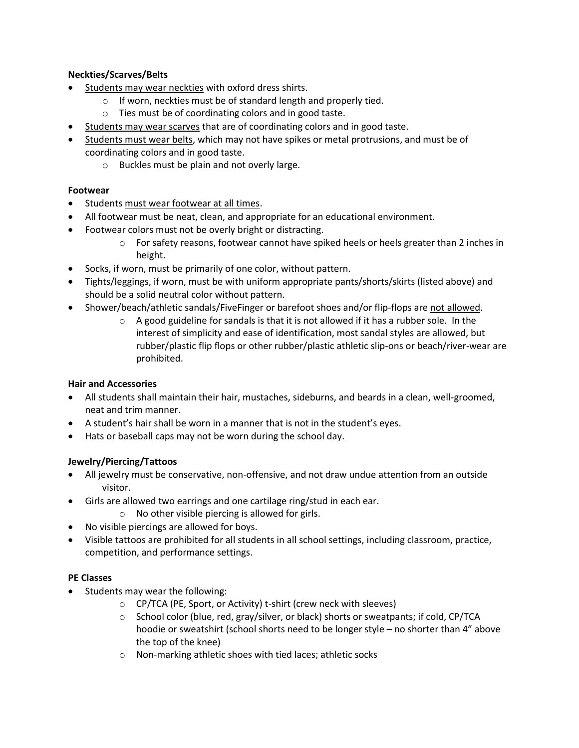# **Neckties/Scarves/Belts**

- Students may wear neckties with oxford dress shirts.
	- o If worn, neckties must be of standard length and properly tied.
	- o Ties must be of coordinating colors and in good taste.
- Students may wear scarves that are of coordinating colors and in good taste.
- Students must wear belts, which may not have spikes or metal protrusions, and must be of coordinating colors and in good taste.
	- o Buckles must be plain and not overly large.

#### **Footwear**

- Students must wear footwear at all times.
- All footwear must be neat, clean, and appropriate for an educational environment.
- Footwear colors must not be overly bright or distracting.
	- $\circ$  For safety reasons, footwear cannot have spiked heels or heels greater than 2 inches in height.
- Socks, if worn, must be primarily of one color, without pattern.
- Tights/leggings, if worn, must be with uniform appropriate pants/shorts/skirts (listed above) and should be a solid neutral color without pattern.
- Shower/beach/athletic sandals/FiveFinger or barefoot shoes and/or flip-flops are not allowed.
	- $\circ$  A good guideline for sandals is that it is not allowed if it has a rubber sole. In the interest of simplicity and ease of identification, most sandal styles are allowed, but rubber/plastic flip flops or other rubber/plastic athletic slip-ons or beach/river-wear are prohibited.

#### **Hair and Accessories**

- All students shall maintain their hair, mustaches, sideburns, and beards in a clean, well-groomed, neat and trim manner.
- A student's hair shall be worn in a manner that is not in the student's eyes.
- Hats or baseball caps may not be worn during the school day.

# **Jewelry/Piercing/Tattoos**

- All jewelry must be conservative, non-offensive, and not draw undue attention from an outside visitor.
- Girls are allowed two earrings and one cartilage ring/stud in each ear.
	- o No other visible piercing is allowed for girls.
- No visible piercings are allowed for boys.
- Visible tattoos are prohibited for all students in all school settings, including classroom, practice, competition, and performance settings.

#### **PE Classes**

- Students may wear the following:
	- o CP/TCA (PE, Sport, or Activity) t-shirt (crew neck with sleeves)
	- $\circ$  School color (blue, red, gray/silver, or black) shorts or sweatpants; if cold, CP/TCA hoodie or sweatshirt (school shorts need to be longer style – no shorter than 4" above the top of the knee)
	- o Non-marking athletic shoes with tied laces; athletic socks